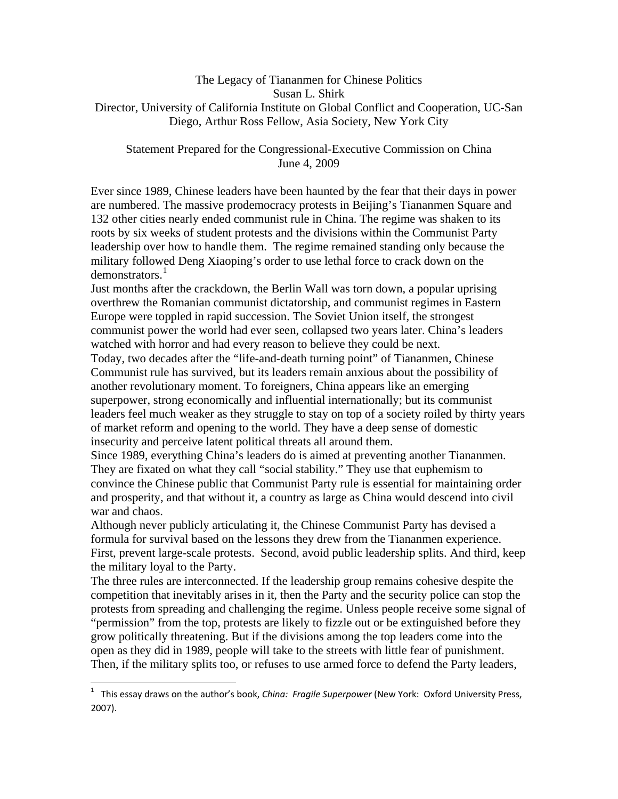# The Legacy of Tiananmen for Chinese Politics Susan L. Shirk Director, University of California Institute on Global Conflict and Cooperation, UC-San Diego, Arthur Ross Fellow, Asia Society, New York City

## Statement Prepared for the Congressional-Executive Commission on China June 4, 2009

Ever since 1989, Chinese leaders have been haunted by the fear that their days in power are numbered. The massive prodemocracy protests in Beijing's Tiananmen Square and 132 other cities nearly ended communist rule in China. The regime was shaken to its roots by six weeks of student protests and the divisions within the Communist Party leadership over how to handle them. The regime remained standing only because the military followed Deng Xiaoping's order to use lethal force to crack down on the demonstrators.<sup>[1](#page-0-0)</sup>

Just months after the crackdown, the Berlin Wall was torn down, a popular uprising overthrew the Romanian communist dictatorship, and communist regimes in Eastern Europe were toppled in rapid succession. The Soviet Union itself, the strongest communist power the world had ever seen, collapsed two years later. China's leaders watched with horror and had every reason to believe they could be next.

Today, two decades after the "life-and-death turning point" of Tiananmen, Chinese Communist rule has survived, but its leaders remain anxious about the possibility of another revolutionary moment. To foreigners, China appears like an emerging superpower, strong economically and influential internationally; but its communist leaders feel much weaker as they struggle to stay on top of a society roiled by thirty years of market reform and opening to the world. They have a deep sense of domestic insecurity and perceive latent political threats all around them.

Since 1989, everything China's leaders do is aimed at preventing another Tiananmen. They are fixated on what they call "social stability." They use that euphemism to convince the Chinese public that Communist Party rule is essential for maintaining order and prosperity, and that without it, a country as large as China would descend into civil war and chaos.

Although never publicly articulating it, the Chinese Communist Party has devised a formula for survival based on the lessons they drew from the Tiananmen experience. First, prevent large-scale protests. Second, avoid public leadership splits. And third, keep the military loyal to the Party.

The three rules are interconnected. If the leadership group remains cohesive despite the competition that inevitably arises in it, then the Party and the security police can stop the protests from spreading and challenging the regime. Unless people receive some signal of "permission" from the top, protests are likely to fizzle out or be extinguished before they grow politically threatening. But if the divisions among the top leaders come into the open as they did in 1989, people will take to the streets with little fear of punishment. Then, if the military splits too, or refuses to use armed force to defend the Party leaders,

 $\overline{a}$ 

<span id="page-0-0"></span><sup>&</sup>lt;sup>1</sup> This essay draws on the author's book, *China: Fragile Superpower* (New York: Oxford University Press, 2007).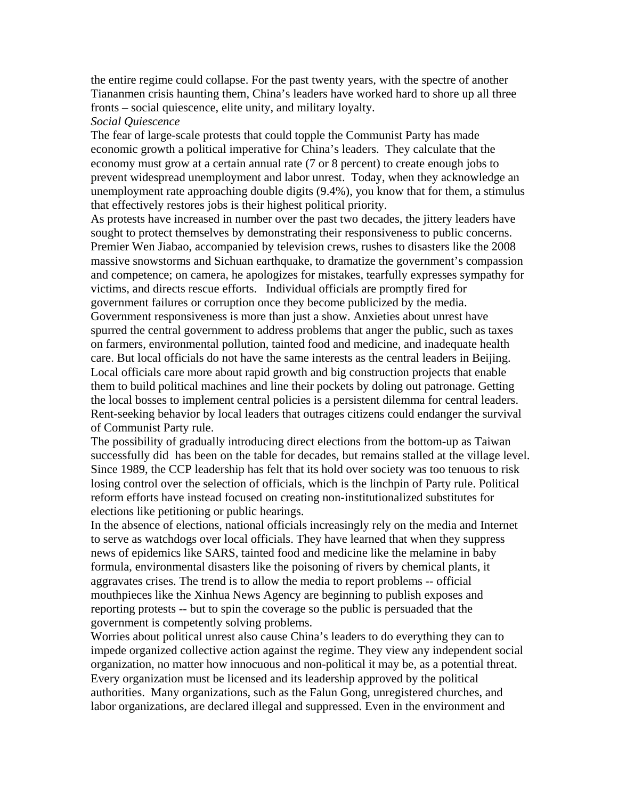the entire regime could collapse. For the past twenty years, with the spectre of another Tiananmen crisis haunting them, China's leaders have worked hard to shore up all three fronts – social quiescence, elite unity, and military loyalty.

#### *Social Quiescence*

The fear of large-scale protests that could topple the Communist Party has made economic growth a political imperative for China's leaders. They calculate that the economy must grow at a certain annual rate (7 or 8 percent) to create enough jobs to prevent widespread unemployment and labor unrest. Today, when they acknowledge an unemployment rate approaching double digits (9.4%), you know that for them, a stimulus that effectively restores jobs is their highest political priority.

As protests have increased in number over the past two decades, the jittery leaders have sought to protect themselves by demonstrating their responsiveness to public concerns. Premier Wen Jiabao, accompanied by television crews, rushes to disasters like the 2008 massive snowstorms and Sichuan earthquake, to dramatize the government's compassion and competence; on camera, he apologizes for mistakes, tearfully expresses sympathy for victims, and directs rescue efforts. Individual officials are promptly fired for government failures or corruption once they become publicized by the media. Government responsiveness is more than just a show. Anxieties about unrest have spurred the central government to address problems that anger the public, such as taxes on farmers, environmental pollution, tainted food and medicine, and inadequate health care. But local officials do not have the same interests as the central leaders in Beijing. Local officials care more about rapid growth and big construction projects that enable them to build political machines and line their pockets by doling out patronage. Getting the local bosses to implement central policies is a persistent dilemma for central leaders. Rent-seeking behavior by local leaders that outrages citizens could endanger the survival of Communist Party rule.

The possibility of gradually introducing direct elections from the bottom-up as Taiwan successfully did has been on the table for decades, but remains stalled at the village level. Since 1989, the CCP leadership has felt that its hold over society was too tenuous to risk losing control over the selection of officials, which is the linchpin of Party rule. Political reform efforts have instead focused on creating non-institutionalized substitutes for elections like petitioning or public hearings.

In the absence of elections, national officials increasingly rely on the media and Internet to serve as watchdogs over local officials. They have learned that when they suppress news of epidemics like SARS, tainted food and medicine like the melamine in baby formula, environmental disasters like the poisoning of rivers by chemical plants, it aggravates crises. The trend is to allow the media to report problems -- official mouthpieces like the Xinhua News Agency are beginning to publish exposes and reporting protests -- but to spin the coverage so the public is persuaded that the government is competently solving problems.

Worries about political unrest also cause China's leaders to do everything they can to impede organized collective action against the regime. They view any independent social organization, no matter how innocuous and non-political it may be, as a potential threat. Every organization must be licensed and its leadership approved by the political authorities. Many organizations, such as the Falun Gong, unregistered churches, and labor organizations, are declared illegal and suppressed. Even in the environment and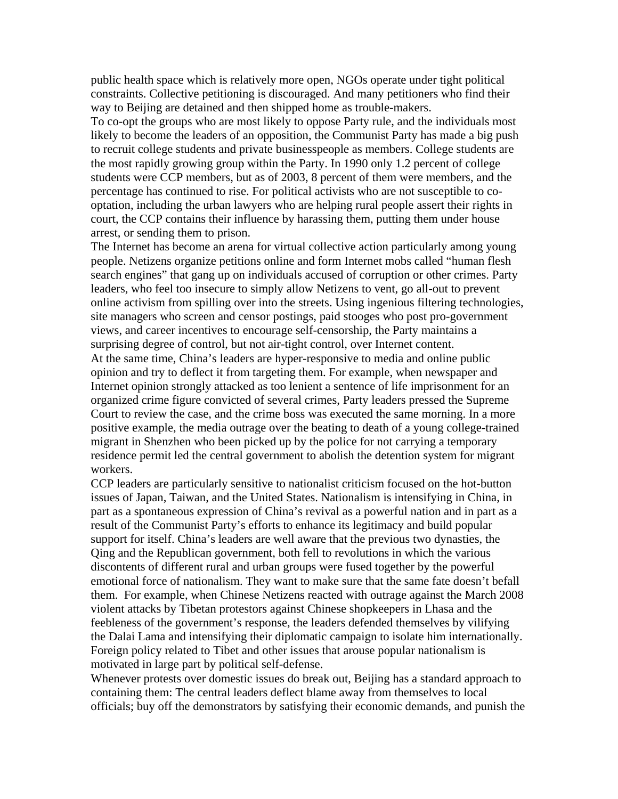public health space which is relatively more open, NGOs operate under tight political constraints. Collective petitioning is discouraged. And many petitioners who find their way to Beijing are detained and then shipped home as trouble-makers.

To co-opt the groups who are most likely to oppose Party rule, and the individuals most likely to become the leaders of an opposition, the Communist Party has made a big push to recruit college students and private businesspeople as members. College students are the most rapidly growing group within the Party. In 1990 only 1.2 percent of college students were CCP members, but as of 2003, 8 percent of them were members, and the percentage has continued to rise. For political activists who are not susceptible to cooptation, including the urban lawyers who are helping rural people assert their rights in court, the CCP contains their influence by harassing them, putting them under house arrest, or sending them to prison.

The Internet has become an arena for virtual collective action particularly among young people. Netizens organize petitions online and form Internet mobs called "human flesh search engines" that gang up on individuals accused of corruption or other crimes. Party leaders, who feel too insecure to simply allow Netizens to vent, go all-out to prevent online activism from spilling over into the streets. Using ingenious filtering technologies, site managers who screen and censor postings, paid stooges who post pro-government views, and career incentives to encourage self-censorship, the Party maintains a surprising degree of control, but not air-tight control, over Internet content. At the same time, China's leaders are hyper-responsive to media and online public opinion and try to deflect it from targeting them. For example, when newspaper and Internet opinion strongly attacked as too lenient a sentence of life imprisonment for an organized crime figure convicted of several crimes, Party leaders pressed the Supreme Court to review the case, and the crime boss was executed the same morning. In a more positive example, the media outrage over the beating to death of a young college-trained migrant in Shenzhen who been picked up by the police for not carrying a temporary residence permit led the central government to abolish the detention system for migrant workers.

CCP leaders are particularly sensitive to nationalist criticism focused on the hot-button issues of Japan, Taiwan, and the United States. Nationalism is intensifying in China, in part as a spontaneous expression of China's revival as a powerful nation and in part as a result of the Communist Party's efforts to enhance its legitimacy and build popular support for itself. China's leaders are well aware that the previous two dynasties, the Qing and the Republican government, both fell to revolutions in which the various discontents of different rural and urban groups were fused together by the powerful emotional force of nationalism. They want to make sure that the same fate doesn't befall them. For example, when Chinese Netizens reacted with outrage against the March 2008 violent attacks by Tibetan protestors against Chinese shopkeepers in Lhasa and the feebleness of the government's response, the leaders defended themselves by vilifying the Dalai Lama and intensifying their diplomatic campaign to isolate him internationally. Foreign policy related to Tibet and other issues that arouse popular nationalism is motivated in large part by political self-defense.

Whenever protests over domestic issues do break out, Beijing has a standard approach to containing them: The central leaders deflect blame away from themselves to local officials; buy off the demonstrators by satisfying their economic demands, and punish the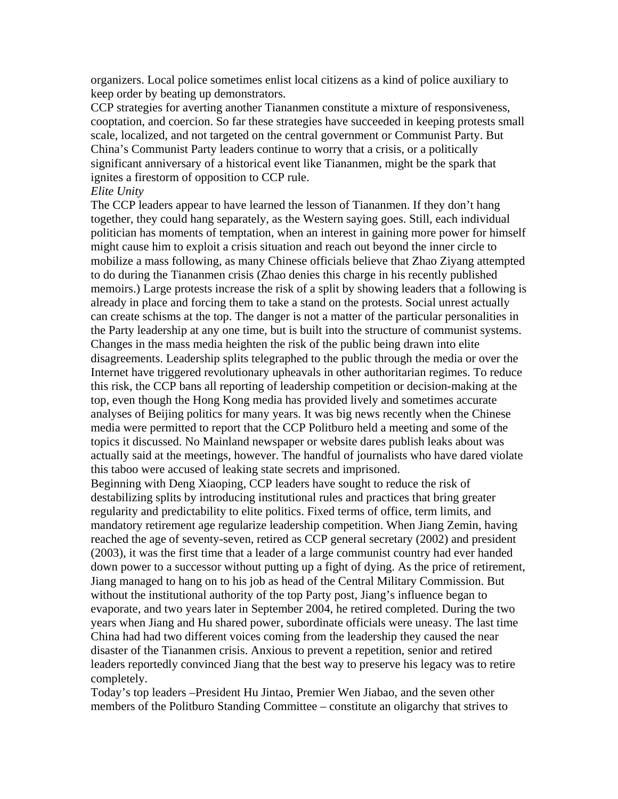organizers. Local police sometimes enlist local citizens as a kind of police auxiliary to keep order by beating up demonstrators.

CCP strategies for averting another Tiananmen constitute a mixture of responsiveness, cooptation, and coercion. So far these strategies have succeeded in keeping protests small scale, localized, and not targeted on the central government or Communist Party. But China's Communist Party leaders continue to worry that a crisis, or a politically significant anniversary of a historical event like Tiananmen, might be the spark that ignites a firestorm of opposition to CCP rule.

#### *Elite Unity*

The CCP leaders appear to have learned the lesson of Tiananmen. If they don't hang together, they could hang separately, as the Western saying goes. Still, each individual politician has moments of temptation, when an interest in gaining more power for himself might cause him to exploit a crisis situation and reach out beyond the inner circle to mobilize a mass following, as many Chinese officials believe that Zhao Ziyang attempted to do during the Tiananmen crisis (Zhao denies this charge in his recently published memoirs.) Large protests increase the risk of a split by showing leaders that a following is already in place and forcing them to take a stand on the protests. Social unrest actually can create schisms at the top. The danger is not a matter of the particular personalities in the Party leadership at any one time, but is built into the structure of communist systems. Changes in the mass media heighten the risk of the public being drawn into elite disagreements. Leadership splits telegraphed to the public through the media or over the Internet have triggered revolutionary upheavals in other authoritarian regimes. To reduce this risk, the CCP bans all reporting of leadership competition or decision-making at the top, even though the Hong Kong media has provided lively and sometimes accurate analyses of Beijing politics for many years. It was big news recently when the Chinese media were permitted to report that the CCP Politburo held a meeting and some of the topics it discussed. No Mainland newspaper or website dares publish leaks about was actually said at the meetings, however. The handful of journalists who have dared violate this taboo were accused of leaking state secrets and imprisoned.

Beginning with Deng Xiaoping, CCP leaders have sought to reduce the risk of destabilizing splits by introducing institutional rules and practices that bring greater regularity and predictability to elite politics. Fixed terms of office, term limits, and mandatory retirement age regularize leadership competition. When Jiang Zemin, having reached the age of seventy-seven, retired as CCP general secretary (2002) and president (2003), it was the first time that a leader of a large communist country had ever handed down power to a successor without putting up a fight of dying. As the price of retirement, Jiang managed to hang on to his job as head of the Central Military Commission. But without the institutional authority of the top Party post, Jiang's influence began to evaporate, and two years later in September 2004, he retired completed. During the two years when Jiang and Hu shared power, subordinate officials were uneasy. The last time China had had two different voices coming from the leadership they caused the near disaster of the Tiananmen crisis. Anxious to prevent a repetition, senior and retired leaders reportedly convinced Jiang that the best way to preserve his legacy was to retire completely.

Today's top leaders –President Hu Jintao, Premier Wen Jiabao, and the seven other members of the Politburo Standing Committee – constitute an oligarchy that strives to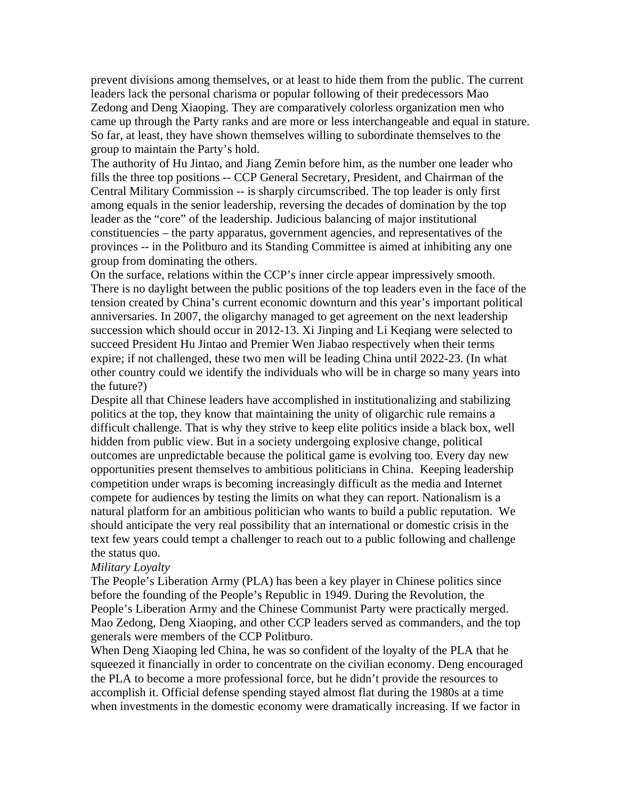prevent divisions among themselves, or at least to hide them from the public. The current leaders lack the personal charisma or popular following of their predecessors Mao Zedong and Deng Xiaoping. They are comparatively colorless organization men who came up through the Party ranks and are more or less interchangeable and equal in stature. So far, at least, they have shown themselves willing to subordinate themselves to the group to maintain the Party's hold.

The authority of Hu Jintao, and Jiang Zemin before him, as the number one leader who fills the three top positions -- CCP General Secretary, President, and Chairman of the Central Military Commission -- is sharply circumscribed. The top leader is only first among equals in the senior leadership, reversing the decades of domination by the top leader as the "core" of the leadership. Judicious balancing of major institutional constituencies – the party apparatus, government agencies, and representatives of the provinces -- in the Politburo and its Standing Committee is aimed at inhibiting any one group from dominating the others.

On the surface, relations within the CCP's inner circle appear impressively smooth. There is no daylight between the public positions of the top leaders even in the face of the tension created by China's current economic downturn and this year's important political anniversaries. In 2007, the oligarchy managed to get agreement on the next leadership succession which should occur in 2012-13. Xi Jinping and Li Keqiang were selected to succeed President Hu Jintao and Premier Wen Jiabao respectively when their terms expire; if not challenged, these two men will be leading China until 2022-23. (In what other country could we identify the individuals who will be in charge so many years into the future?)

Despite all that Chinese leaders have accomplished in institutionalizing and stabilizing politics at the top, they know that maintaining the unity of oligarchic rule remains a difficult challenge. That is why they strive to keep elite politics inside a black box, well hidden from public view. But in a society undergoing explosive change, political outcomes are unpredictable because the political game is evolving too. Every day new opportunities present themselves to ambitious politicians in China. Keeping leadership competition under wraps is becoming increasingly difficult as the media and Internet compete for audiences by testing the limits on what they can report. Nationalism is a natural platform for an ambitious politician who wants to build a public reputation. We should anticipate the very real possibility that an international or domestic crisis in the text few years could tempt a challenger to reach out to a public following and challenge the status quo.

### *Military Loyalty*

The People's Liberation Army (PLA) has been a key player in Chinese politics since before the founding of the People's Republic in 1949. During the Revolution, the People's Liberation Army and the Chinese Communist Party were practically merged. Mao Zedong, Deng Xiaoping, and other CCP leaders served as commanders, and the top generals were members of the CCP Politburo.

When Deng Xiaoping led China, he was so confident of the loyalty of the PLA that he squeezed it financially in order to concentrate on the civilian economy. Deng encouraged the PLA to become a more professional force, but he didn't provide the resources to accomplish it. Official defense spending stayed almost flat during the 1980s at a time when investments in the domestic economy were dramatically increasing. If we factor in